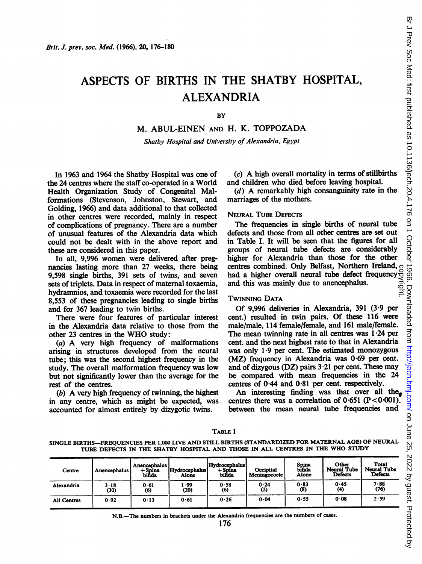# ASPECTS OF BIRTHS IN THE SHATBY HOSPITAL, ALEXANDRIA

**BY** 

M. ABUL-EINEN AND H. K. TOPPOZADA

Shatby Hospital and University of Alexandria, Egypt

In 1963 and 1964 the Shatby Hospital was one of the 24 centres where the staff co-operated in a World Health Organization Study of Congenital Malformations (Stevenson, Johnston, Stewart, and Golding, 1966) and data additional to that collected in other centres were recorded, mainly in respect of complications of pregnancy. There are a number of unusual features of the Alexandria data which could not be dealt with in the above report and these are considered in this paper.

In all, 9,996 women were delivered after pregnancies lasting more than 27 weeks, there being 9,598 single births, 391 sets of twins, and seven sets of triplets. Data in respect of maternal toxaemia, hydramnios, and toxaemia were recorded for the last 8,553 of these pregnancies leading to single births and for 367 leading to twin births.

There were four features of particular interest in the Alexandria data relative to those from the other <sup>23</sup> centres in the WHO study:

(a) A very high frequency of malformations arising in structures developed from the neural tube; this was the second highest frequency in the study. The overall malformation frequency was low but not significantly lower than the average for the rest of the centres.

(b) A very high frequency of twinning, the highest in any centre, which as might be expected, was accounted for almost entirely by dizygotic twins.

(c) A high overall mortality in terms of stillbirths and children who died before leaving hospital.

(d) A remarkably high consanguinity rate in the marriages of the mothers.

#### NEURAL TUBE DEFECTS

The frequencies in single births of neural tube defects and those from all other centres are set out<br>in Table I. It will be seen that the figures for all in Table I. It will be seen that the figures for all groups of neural tube defects are considerably higher for Alexandria than those for the other centres combined. Only Belfast, Northern Ireland, had a higher overall neural tube defect frequency and this was mainly due to anencephalus. copyright.

#### TwINNNG DATA

Of 9,996 deliveries in Alexandria, 391 (3'9 per cent.) resulted in twin pairs. Of these 116 were male/male, 114 female/female, and 161 male/female. The mean twinning rate in all centres was  $1.24$  per cent. and the next highest rate to that in Alexandria was only 1-9 per cent. The estimated monozygous (MZ) frequency in Alexandria was 0-69 per cent. and of dizygous (DZ) pairs  $3.21$  per cent. These may be compared with mean frequencies in the 24 centres of 0 44 and 0'81 per cent. respectively.

An interesting finding was that over all the centres there was a correlation of  $0.651$  (P < 0.001). between the mean neural tube frequencies and

#### TABLE <sup>I</sup>

SINGLE BIRTHS-FREQUENCIES PER 1,000 LIVE AND STILL BIRTHS (STANDARDIZED FOR MATERNAL AGE) OF NEURAL TUBE DEFECTS IN THE SHATBY HOSPITAL AND THOSE IN ALL CENTRES IN THE WHO STUDY

| Centre      | Anencephalus     | Anencephalus<br>$+$ Spina<br>bifida | Hydrocephalus<br>Alone | Hydrocephalus<br>$+$ Spina<br>bifida | Occipital<br>« Meningocoele ! | Spina<br>bifida<br>Alone | Other<br><b>Neural Tube</b><br><b>Defects</b> | <b>Total</b><br><b>Neural Tube</b><br><b>Defects</b> |  |
|-------------|------------------|-------------------------------------|------------------------|--------------------------------------|-------------------------------|--------------------------|-----------------------------------------------|------------------------------------------------------|--|
| Alexandria  | $3 - 18$<br>(30) | 0.61<br>(6)                         | وو.<br>(20)            | 0.58<br>(6)                          | 0.24<br>(2)                   | 0.83<br>$(8)$            | 0.45<br>$\left(4\right)$                      | $7 - 88$<br>(76)                                     |  |
| All Centres | 0.92             | 0.13                                | 0.61                   | 0.26                                 | 0.04                          | 0.55                     | 0.08                                          | 2.59                                                 |  |

N.B.-The numbers in brackets under the Alexandria frequencies are the numbers of cases.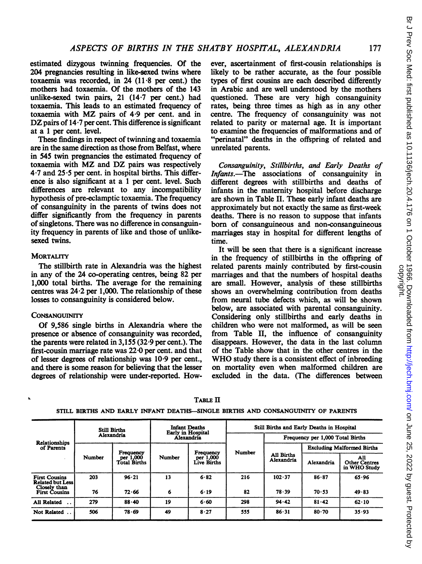estimated dizygous twinning frequencies. Of the 204 pregnancies resulting in like-sexed twins where toxaemia was recorded, in 24 (11 8 per cent.) the mothers had toxaemia. Of the mothers of the 143 unlike-sexed twin pairs, 21 (14-7 per cent.) had toxaemia. This leads to an estimated frequency of toxaemia with MZ pairs of <sup>4</sup> <sup>9</sup> per cent. and in DZ pairs of  $14 \cdot 7$  per cent. This difference is significant at a <sup>1</sup> per cent. level.

These findings in respect of twinning and toxaemia are in the same direction as those from Belfast, where in 545 twin pregnancies the estimated frequency of toxaemia with MZ and DZ pairs was respectively  $4.7$  and  $25.5$  per cent. in hospital births. This difference is also significant at a <sup>1</sup> per cent. level. Such differences are relevant to any incompatibility hypothesis of pre-eclamptic toxaemia. The frequency of consanguinity in the parents of twins does not differ significantly from the frequency in parents of singletons. There was no difference in consanguinity frequency in parents of like and those of unlikesexed twins.

## **MORTALITY**

The stillbirth rate in Alexandria was the highest in any of the 24 co-operating centres, being 82 per 1,000 total births. The average for the remaining centres was 24-2 per 1,000. The relationship of these losses to consanguinity is considered below.

## **CONSANGUINITY**

Of 9,586 single births in Alexandria where the presence or absence of consanguinity was recorded, the parents were related in 3,155 (32-9 per cent.). The first-cousin marriage rate was 22-0 per cent. and that of lesser degrees of relationship was 10 9 per cent., and there is some reason for believing that the lesser degrees of relationship were under-reported. How-

ever, ascertainment of first-cousin relationships is likely to be rather accurate, as the four possible types of first cousins are each described differently in Arabic and are well understood by the mothers questioned. These are very high consanguinity rates, being three times as high as in any other centre. The frequency of consanguinity was not related to parity or maternal age. It is important to examine the frequencies of malformations and of "perinatal" deaths in the offspring of related and unrelated parents.

Consanguinity, Stillbirths, and Early Deaths of Infants.-The associations of consanguinity in different degrees with stillbirths and deaths of infants in the maternity hospital before discharge are shown in Table II. These early infant deaths are approximately but not exactly the same as first-week deaths. There is no reason to suppose that infants born of consanguineous and non-consanguineous marriages stay in hospital for different lengths of time.

It will be seen that there is a significant increase in the frequency of stillbirths in the offspring of related parents mainly contributed by first-cousin marriages and that the numbers of hospital deaths are small. However, analysis of these stillbirths shows an overwhelming contribution from deaths from neural tube defects which, as will be shown below, are associated with parental consanguinity. Considering only stillbirths and early deaths in children who were not malformed, as will be seen from Table II, the influence of consanguinity disappears. However, the data in the last column of the Table show that in the other centres in the WHO study there is <sup>a</sup> consistent effect of inbreeding on mortality even when malformed children are excluded in the data. (The differences between

| <b>Relationships</b><br>of Parents                              |        | <b>Still Births</b>              |        | <b>Infant Deaths</b><br><b>Early in Hospital</b> | Still Births and Early Deaths in Hospital |                                  |                                   |                                             |  |  |  |
|-----------------------------------------------------------------|--------|----------------------------------|--------|--------------------------------------------------|-------------------------------------------|----------------------------------|-----------------------------------|---------------------------------------------|--|--|--|
|                                                                 |        | Alexandria                       |        | Alexandria                                       | Number                                    | Frequency per 1,000 Total Births |                                   |                                             |  |  |  |
|                                                                 |        | Frequency                        |        | Frequency                                        |                                           |                                  | <b>Excluding Malformed Births</b> |                                             |  |  |  |
|                                                                 | Number | per 1,000<br><b>Total Births</b> | Number | per 1,000<br><b>Live Births</b>                  |                                           | <b>All Births</b><br>Alexandria  | Alexandria                        | All<br><b>Other Centres</b><br>in WHO Study |  |  |  |
| <b>First Cousins</b><br><b>Related but Less</b><br>Closely than | 203    | 96.21                            | 13     | 6.82                                             | 216                                       | 102.37                           | 86.87                             | 65.96                                       |  |  |  |
| <b>First Cousins</b>                                            | 76     | 72.66                            | 6      | 6.19                                             | 82                                        | 78.39                            | 70.53                             | 49.83                                       |  |  |  |
| All Related                                                     | 279    | 88.40                            | 19     | 6.60                                             | 298                                       | 94.42                            | 81.42                             | $62 \cdot 10$                               |  |  |  |
| Not Related                                                     | 506    | 78.69                            | 49     | 8.27                                             | 555                                       | $86 - 31$                        | $80 - 70$                         | 35.93                                       |  |  |  |

TABLE II

## STILL BIRTHS AND EARLY INFANT DEATHS-SINGLE BIRTHS AND CONSANGUINITY OF PARENTS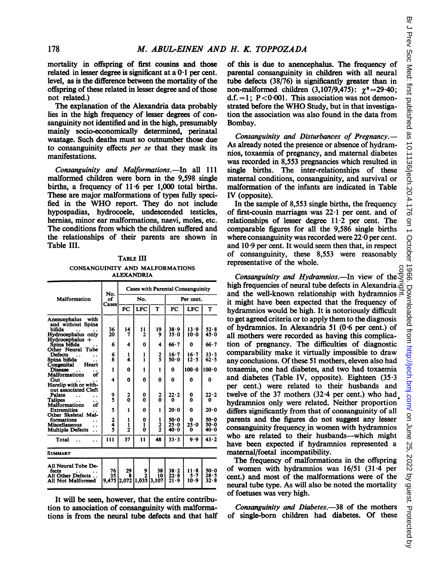mortality in offspring of first cousins and those related in lesser degree is significant at a  $0.1$  per cent. level, as is the difference between the mortality of the offspring of these related in lesser degree and of those not related.)

The explanation of the Alexandria data probably lies in the high frequency of lesser degrees of consanguinity not identified and in the high, presumably mainly socio-economically determined, perinatal wastage. Such deaths must so outnumber those due to consanguinity effects per se that they mask its manifestations.

Consanguinity and Malformations.-In all 111 malformed children were born in the 9,598 single births, a frequency of 11-6 per 1,000 total births. These are major malformations of types fully specified in the WHO report. They do not include hypospadias, hydrocoele, undescended testicles, hernias, minor ear malformations, naevi, moles, etc. The conditions from which the children suffered and the relationships of their parents are shown in Table III.

TABLE III CONSANGUINITY AND MALFORMATIONS ALEXANDRIA

|                                                                                                                      | No.                | Cases with Parental Consanguinity |                       |                     |                                  |                     |                                  |  |  |  |  |
|----------------------------------------------------------------------------------------------------------------------|--------------------|-----------------------------------|-----------------------|---------------------|----------------------------------|---------------------|----------------------------------|--|--|--|--|
| Malformation                                                                                                         | of<br>Cases        |                                   | No.                   |                     | Per cent.                        |                     |                                  |  |  |  |  |
|                                                                                                                      |                    | FC                                | <b>LFC</b>            | T                   | FC                               | <b>LFC</b>          | т                                |  |  |  |  |
| Anencephalus<br>with<br>and without Spina<br>bifida<br>Hydrocephalus only                                            | 36<br>20           | 14<br>7                           | 11<br>2               | 19<br>9             | 38.9<br>$35 - 0$                 | 13.9<br>10.0        | $52 - 8$<br>45.0                 |  |  |  |  |
| $Hydrocephalus +$<br>Spina bifida<br>Other Neural Tube                                                               | 6                  | 4                                 | 0                     | 4                   | $66 - 7$                         | 0                   | $66 - 7$                         |  |  |  |  |
| Defects<br>$\ddot{\phantom{a}}$<br>Spina bifida<br>Congenital<br>Heart                                               | 6<br>Ŕ             | 1<br>4                            | 1<br>1                | $\frac{2}{5}$       | $16 - 7$<br>$50 - 0$             | $16 - 7$<br>12.5    | $33 - 3$<br>62.5                 |  |  |  |  |
| <b>Disease</b><br><b>Malformations</b><br>of                                                                         | 1                  | 0                                 | 1                     | 1                   | 0                                | 100.0               | 100.0                            |  |  |  |  |
| Gut<br>Harelip with or with-<br>out associated Cleft                                                                 | 4                  | 0                                 | 0                     | 0                   | 0                                | 0                   | 0                                |  |  |  |  |
| Palate<br>Talipes<br><b>Malformations</b><br>of                                                                      | 9<br>š             | 2<br>o                            | 0<br>0                | $\overline{2}$<br>ō | 22.2<br>0                        | 0<br>O              | 22.2<br>0                        |  |  |  |  |
| <b>Extremities</b><br>Other Skeletal Mal-                                                                            | 5                  | 1                                 | 0                     | 1                   | 20.0                             | 0                   | 20.0                             |  |  |  |  |
| formations<br>$\ddot{\phantom{a}}$<br><b>Miscellaneous</b><br>. .<br><b>Multiple Defects</b><br>$\ddot{\phantom{0}}$ | 2<br>$\frac{1}{5}$ | 1<br>1<br>$\overline{2}$          | 0<br>1<br>Ô           | 1<br>$\frac{2}{2}$  | $50 - 0$<br>$25 - 0$<br>$40 - 0$ | 0<br>25.0<br>Ω      | 50.0<br>50.0<br>40.0             |  |  |  |  |
| Total                                                                                                                | 111                | 37                                | 11                    | 48                  | $33 - 3$                         | $9 - 9$             | $43 - 2$                         |  |  |  |  |
| <b>SUMMARY</b>                                                                                                       |                    |                                   |                       |                     |                                  |                     |                                  |  |  |  |  |
| All Neural Tube De-<br>fects<br>All Other Defects<br>All Not Malformed                                               | 76<br>35<br>9,475  | 29<br>8<br>2,072                  | 9<br>2<br>1,035 3,107 | 38<br>10            | 38.2<br>22.8<br>21 - 9           | 11.8<br>5.7<br>10.9 | $50 - 0$<br>$28 - 5$<br>$32 - 8$ |  |  |  |  |

It will be seen, however, that the entire contribution to association of consanguinity with malformations is from the neural tube defects and that half of this is due to anencephalus. The frequency of parental consanguinity in children with all neural tube defects  $(38/76)$  is significantly greater than in non-malformed children  $(3,107/9,475)$ :  $\chi^2 = 29.40$ ; d.f.  $=1$ ; P<0.001. This association was not demonstrated before the WHO Study, but in that investigation the association was also found in the data from Bombay.

Consanguinity and Disturbances of Pregnancy.— As already noted the presence or absence of hydramnios, toxaemia of pregnancy, and maternal diabetes was recorded in 8,553 pregnancies which resulted in single births. The inter-relationships of these maternal conditions, consanguinity, and survival or malformation of the infants are indicated in Table IV (opposite).

In the sample of 8,553 single births, the frequency of first-cousin marriages was 22-1 per cent. and of relationships of lesser degree  $11.2$  per cent. The comparable figures for all the 9,586 single births where consanguinity was recorded were 22.0 per cent. and  $10.9$  per cent. It would seem then that, in respect of consanguinity, these 8,553 were reasonably representative of the whole.

Consanguinity and Hydramnios.—In view of the. high frequencies of neural tube defects in Alexandria  $\vec{a}$ and the well-known relationship with hydramnios it might have been expected that the frequency of hydramnios would be high. It is notoriously difficult to get agreed criteria or to apply them to the diagnosis of hydramnios. In Alexandria 51 (0-6 per cent.) of all mothers were recorded as having this complication of pregnancy. The difficulties of diagnostic comparability make it virtually impossible to draw any conclusions. Of these 51 mothers, eleven also had toxaemia, one had diabetes, and two had toxaemia and diabetes (Table IV, opposite). Eighteen  $(35.3)$ per cent.) were related to their husbands and twelve of the  $37$  mothers  $(32.4$  per cent.) who had hydramnios only were related. Neither proportion differs significantly from that of consanguinity of all parents and the figures do not suggest any lesser consanguinity frequency. in women with hydramnios who are related to their husbands—which might have been expected if hydramnios represented a maternal/foetal incompatibility. copyright.

The frequency of malformations in the offspring of women with hydramnios was 16/51 (31-4 per cent.) and most of the malformations were of the neural tube type. As will also be noted the mortality of foetuses was very high.

Consanguinity and Diabetes.-38 of the mothers of single-born children had diabetes. Of these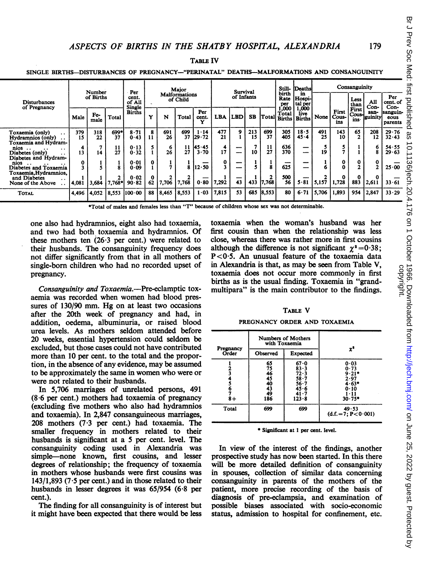TABLE IV

SINGLE BIRTHS-DISTURBANCES OF PREGNANCY-"PERINATAL" DEATHS-MALFORMATIONS AND CONSANGUINITY

|                                                                                             | Number    |             | Per        | Major                                                         |    |            | <b>Survival</b> |                |                      | Still-<br>Deaths        |           | Consanguinity |                         |                                         |                         |                       |                         |                         |                             |
|---------------------------------------------------------------------------------------------|-----------|-------------|------------|---------------------------------------------------------------|----|------------|-----------------|----------------|----------------------|-------------------------|-----------|---------------|-------------------------|-----------------------------------------|-------------------------|-----------------------|-------------------------|-------------------------|-----------------------------|
| <b>Disturbances</b><br>of Pregnancy                                                         | of Births |             |            | <b>Malformations</b><br>cent.<br>of Child<br>of All<br>Single |    | of Infants |                 |                | birth<br>Rate<br>per | in<br>Hospi-<br>tal per |           |               | Less<br>than            | All<br>Con-                             | Per<br>cent. of<br>Con- |                       |                         |                         |                             |
|                                                                                             | Male      | Fe-<br>male | Total      | <b>Births</b>                                                 | v  | N          | Total           | Per<br>cent.   | <b>LBA</b>           | <b>LBD</b>              | <b>SB</b> |               | Total<br>[Total Births' | 1,000<br>1.000<br>live<br><b>Births</b> | None                    | First<br>Cous-<br>ins | First<br>Cous-l<br>ins- | san-<br><b>Iguinity</b> | sanguin-<br>eous<br>parents |
| Toxaemia (only)<br>$\ddot{\phantom{1}}$<br>Hydramnios (only)<br>. .<br>Toxaemia and Hydram- | 379<br>15 | 318<br>22   | 699*<br>37 | $8 - 71$<br>0.43                                              | 11 | 691<br>26  | 699<br>37       | 1.14<br>129.72 | 477<br>21            | 9                       | 213<br>15 | 699<br>37     | 305<br>405              | 18.5<br>$45 - 4$                        | 491<br>25               | 143<br>10             | 65                      | 208<br>12               | 29.76<br>32.43              |
| $nios$<br>. .<br>Diabetes (only)<br>. .<br>Diabetes and Hydram-                             | 13        | 14          | 11<br>27   | 0.13<br>0.32                                                  |    | 6<br>26    | 11<br>27        | 145.45<br>3.70 | 4<br>17              |                         | 10        | 11<br>27      | 636<br>370              | —                                       | 19                      |                       |                         | 6                       | 54.55<br>29.63              |
| nios<br>$\cdot$ $\cdot$<br>Diabetes and Toxaemia<br>Toxaemia.Hydramnios.                    |           |             |            | 0.01<br>0.09                                                  |    |            | 8               | 12.50          | 0                    |                         |           |               | 625                     | --                                      |                         |                       | 0<br>h,                 | 0                       | 25.00                       |
| and Diabetes<br>. .<br>None of the Above                                                    | 4,081     | 3,684       | 7.768*     | 0.02<br>90.82                                                 | 62 | 7,706      | 7,768           | 0.80           | 7,292                | 43                      | 433       | 7.768         | 500<br>56               | 5.81                                    | 5,157                   | 0<br>1,728            | 0<br>883                | 2,611                   | 33.61                       |
| <b>TOTAL</b>                                                                                | 4,496     | 4.052       | 8,553      | 100.00                                                        | 88 | 8,465      | 8,553           | $\cdot$ 03     | 7,815                | 53                      | 685       | 8,553         | 80                      | $6 - 71$                                | 5.706                   | 1,893                 | 954                     | 12.847                  | 33.29                       |

\*Total of males and females less than "T" because of children whose sex was not determinable.

one also had hydramnios, eight also had toxaemia, and two had both toxaemia and hydramnios. Of these mothers ten (26-3 per cent.) were related to their husbands. The consanguinity frequency does not differ significantly from that in all mothers of single-born children who had no recorded upset of pregnancy.

Consanguinity and Toxaemia.-Pre-eclamptic toxaemia was recorded when women had blood pressures of 130/90 mm. Hg on at least two occasions after the 20th week of pregnancy and had, in addition, oedema, albuminuria, or raised blood urea levels. As mothers seldom attended before 20 weeks, essential hypertension could seldom be excluded, but those cases could not have contributed more than 10 per cent. to the total and the proportion, in the absence of any evidence, may be assumed to be approximately the same in women who were or were not related to their husbands.

In 5,706 marriages of unrelated persons, 491 (8-6 per cent.) mothers had toxaemia of pregnancy (excluding five mothers who also had hydramnios and toxaemia). In 2,847 consanguineous marriages, 208 mothers (7-3 per cent.) had toxaemia. The smaller frequency in mothers related to their husbands is significant at a 5 per cent. level. The consanguinity coding used in Alexandria was simple-none known, first cousins, and lesser degrees of relationship; the frequency of toxaemia in mothers whose husbands were first cousins was  $143/1,893$  (7.5 per cent.) and in those related to their husbands in lesser degrees it was 65/954 (6-8 per cent.).

The finding for all consanguinity is of interest but it might have been expected that there would be less

toxaemia when the woman's husband was her first cousin than when the relationship was less close, whereas there was rather more in first cousins although the difference is not significant  $\gamma^2 = 0.38$ ; P<0.5. An unusual feature of the toxaemia data in Alexandria is that, as may be seen from Table V, toxaemia does not occur more commonly in first births as is the usual finding. Toxaemia in "grandmultipara" is the main contributor to the findings.

#### TABLE V

PREGNANCY ORDER AND TOXAEMIA

|                    | with Toxaemia               | Numbers of Mothers                                                              |                                                                           |  |  |  |  |
|--------------------|-----------------------------|---------------------------------------------------------------------------------|---------------------------------------------------------------------------|--|--|--|--|
| Pregnancy<br>Order | Observed                    | Expected                                                                        | xª                                                                        |  |  |  |  |
| $8+$               | 65 75 46 45 40 43 49<br>186 | 67.0<br>$83 - 3$<br>72.3<br>$58 - 7$<br>$36 - 7$<br>45.6<br>41 - 7<br>$123 - 8$ | 0.03<br>0.73<br>$9.21*$<br>2.97<br>$4.63*$<br>0.10<br>1 - 1 1<br>$30.75*$ |  |  |  |  |
| Total              | 699                         | 699                                                                             | 49.53<br>$(d.f. = 7: P < 0.001)$                                          |  |  |  |  |

\* Significant at <sup>I</sup> per cent. level.

In view of the interest of the findings, another prospective study has now been started. In this there will be more detailed definition of consanguinity in spouses, collection of similar data concerning consanguinity in parents of the mothers of the patient, more precise recording of the basis of diagnosis of pre-eclampsia, and examination of possible biases associated with socio-economic status, admission to hospital for confinement, etc.

179